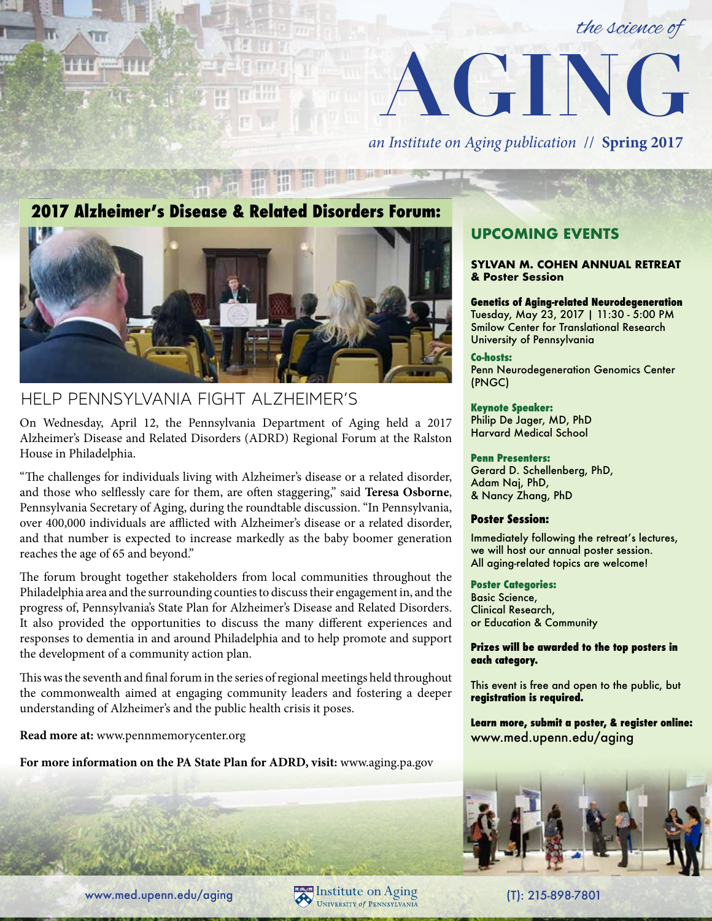



*an Institute on Aging publication* // **Spring 2017**

## **2017 Alzheimer's Disease & Related Disorders Forum:**



## HELP PENNSYLVANIA FIGHT ALZHEIMER'S

On Wednesday, April 12, the Pennsylvania Department of Aging held a 2017 Alzheimer's Disease and Related Disorders (ADRD) Regional Forum at the Ralston House in Philadelphia.

"The challenges for individuals living with Alzheimer's disease or a related disorder, and those who selflessly care for them, are often staggering," said **Teresa Osborne**, Pennsylvania Secretary of Aging, during the roundtable discussion. "In Pennsylvania, over 400,000 individuals are afflicted with Alzheimer's disease or a related disorder, and that number is expected to increase markedly as the baby boomer generation reaches the age of 65 and beyond."

The forum brought together stakeholders from local communities throughout the Philadelphia area and the surrounding counties to discuss their engagement in, and the progress of, Pennsylvania's State Plan for Alzheimer's Disease and Related Disorders. It also provided the opportunities to discuss the many different experiences and responses to dementia in and around Philadelphia and to help promote and support the development of a community action plan.

This was the seventh and final forum in the series of regional meetings held throughout the commonwealth aimed at engaging community leaders and fostering a deeper understanding of Alzheimer's and the public health crisis it poses.

**Read more at:** www.pennmemorycenter.org

**For more information on the PA State Plan for ADRD, visit:** www.aging.pa.gov

## **UPCOMING EVENTS**

#### **SYLVAN M. COHEN ANNUAL RETREAT & Poster Session**

#### **Genetics of Aging-related Neurodegeneration** Tuesday, May 23, 2017 | 11:30 - 5:00 PM Smilow Center for Translational Research

University of Pennsylvania **Co-hosts:**

Penn Neurodegeneration Genomics Center (PNGC)

#### **Keynote Speaker:**

Philip De Jager, MD, PhD Harvard Medical School

#### **Penn Presenters:**

Gerard D. Schellenberg, PhD, Adam Naj, PhD, & Nancy Zhang, PhD

#### **Poster Session:**

Immediately following the retreat's lectures, we will host our annual poster session. All aging-related topics are welcome!

#### **Poster Categories:**

Basic Science, Clinical Research, or Education & Community

#### **Prizes will be awarded to the top posters in each category.**

This event is free and open to the public, but **registration is required.**

**Learn more, submit a poster, & register online:** www.med.upenn.edu/aging



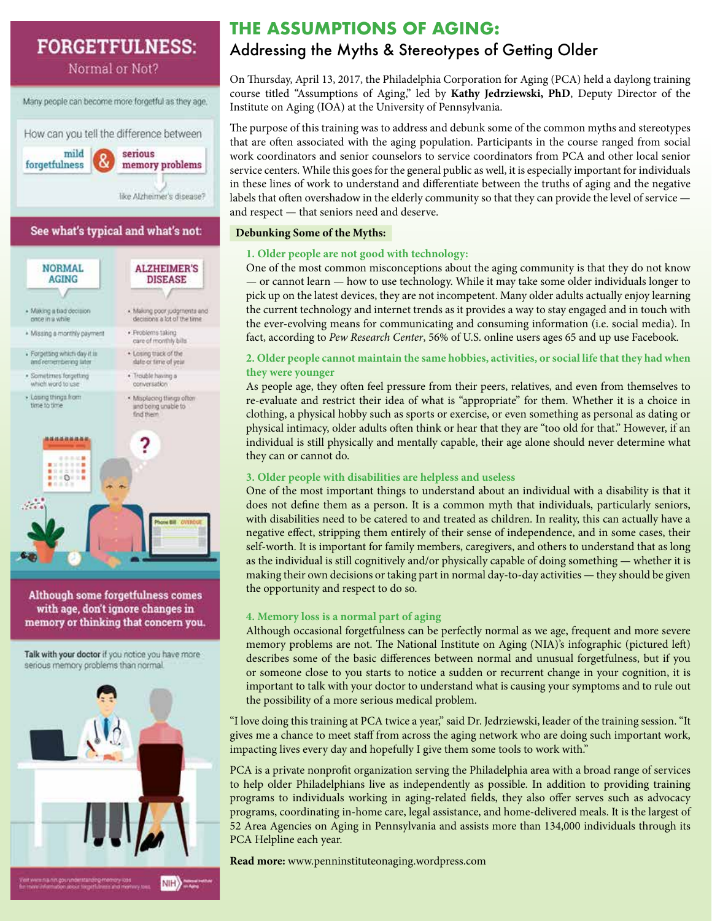# **FORGETFULNESS:**

Normal or Not?

Many people can become more forgetful as they age. How can you tell the difference between mild serious forgetfulness memory problems like Alzheimer's disease? See what's typical and what's not:



Although some forgetfulness comes with age, don't ignore changes in memory or thinking that concern you.

Talk with your doctor if you notice you have more serious memory problems than normal.



## **THE ASSUMPTIONS OF AGING:**

## Addressing the Myths & Stereotypes of Getting Older

On Thursday, April 13, 2017, the Philadelphia Corporation for Aging (PCA) held a daylong training course titled "Assumptions of Aging," led by **Kathy Jedrziewski, PhD**, Deputy Director of the Institute on Aging (IOA) at the University of Pennsylvania.

The purpose of this training was to address and debunk some of the common myths and stereotypes that are often associated with the aging population. Participants in the course ranged from social work coordinators and senior counselors to service coordinators from PCA and other local senior service centers. While this goes for the general public as well, it is especially important for individuals in these lines of work to understand and differentiate between the truths of aging and the negative labels that often overshadow in the elderly community so that they can provide the level of service and respect — that seniors need and deserve.

#### **Debunking Some of the Myths:**

#### **1. Older people are not good with technology:**

One of the most common misconceptions about the aging community is that they do not know — or cannot learn — how to use technology. While it may take some older individuals longer to pick up on the latest devices, they are not incompetent. Many older adults actually enjoy learning the current technology and internet trends as it provides a way to stay engaged and in touch with the ever-evolving means for communicating and consuming information (i.e. social media). In fact, according to *Pew Research Center*, 56% of U.S. online users ages 65 and up use Facebook.

#### **2. Older people cannot maintain the same hobbies, activities, or social life that they had when they were younger**

As people age, they often feel pressure from their peers, relatives, and even from themselves to re-evaluate and restrict their idea of what is "appropriate" for them. Whether it is a choice in clothing, a physical hobby such as sports or exercise, or even something as personal as dating or physical intimacy, older adults often think or hear that they are "too old for that." However, if an individual is still physically and mentally capable, their age alone should never determine what they can or cannot do.

#### **3. Older people with disabilities are helpless and useless**

One of the most important things to understand about an individual with a disability is that it does not define them as a person. It is a common myth that individuals, particularly seniors, with disabilities need to be catered to and treated as children. In reality, this can actually have a negative effect, stripping them entirely of their sense of independence, and in some cases, their self-worth. It is important for family members, caregivers, and others to understand that as long as the individual is still cognitively and/or physically capable of doing something — whether it is making their own decisions or taking part in normal day-to-day activities — they should be given the opportunity and respect to do so.

#### **4. Memory loss is a normal part of aging**

Although occasional forgetfulness can be perfectly normal as we age, frequent and more severe memory problems are not. The National Institute on Aging (NIA)'s infographic (pictured left) describes some of the basic differences between normal and unusual forgetfulness, but if you or someone close to you starts to notice a sudden or recurrent change in your cognition, it is important to talk with your doctor to understand what is causing your symptoms and to rule out the possibility of a more serious medical problem.

"I love doing this training at PCA twice a year," said Dr. Jedrziewski, leader of the training session. "It gives me a chance to meet staff from across the aging network who are doing such important work, impacting lives every day and hopefully I give them some tools to work with."

PCA is a private nonprofit organization serving the Philadelphia area with a broad range of services to help older Philadelphians live as independently as possible. In addition to providing training programs to individuals working in aging-related fields, they also offer serves such as advocacy programs, coordinating in-home care, legal assistance, and home-delivered meals. It is the largest of 52 Area Agencies on Aging in Pennsylvania and assists more than 134,000 individuals through its PCA Helpline each year.

**Read more:** www.penninstituteonaging.wordpress.com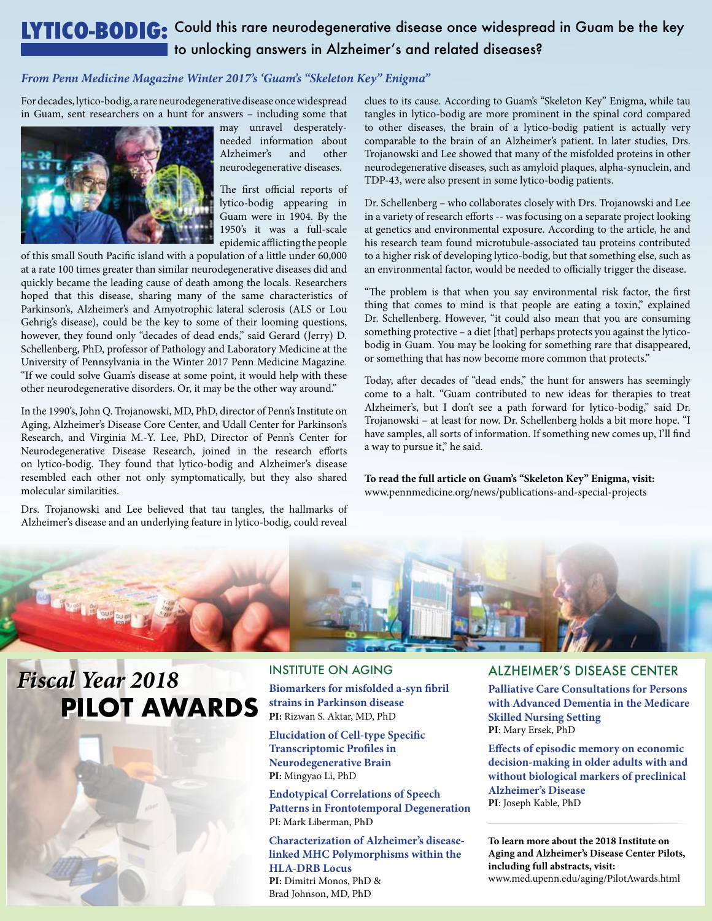## **LYTICO-BODIG:** Could this rare neurodegenerative disease once widespread in Guam be the key to unlocking answers in Alzheimer's and related diseases?

#### *From Penn Medicine Magazine Winter 2017's 'Guam's "Skeleton Key" Enigma"*

For decades, lytico-bodig, a rare neurodegenerative disease once widespread in Guam, sent researchers on a hunt for answers – including some that



may unravel desperatelyneeded information about Alzheimer's and other neurodegenerative diseases.

The first official reports of lytico-bodig appearing in Guam were in 1904. By the 1950's it was a full-scale epidemic afflicting the people

of this small South Pacific island with a population of a little under 60,000 at a rate 100 times greater than similar neurodegenerative diseases did and quickly became the leading cause of death among the locals. Researchers hoped that this disease, sharing many of the same characteristics of Parkinson's, Alzheimer's and Amyotrophic lateral sclerosis (ALS or Lou Gehrig's disease), could be the key to some of their looming questions, however, they found only "decades of dead ends," said Gerard (Jerry) D. Schellenberg, PhD, professor of Pathology and Laboratory Medicine at the University of Pennsylvania in the Winter 2017 Penn Medicine Magazine. "If we could solve Guam's disease at some point, it would help with these other neurodegenerative disorders. Or, it may be the other way around."

In the 1990's, John Q. Trojanowski, MD, PhD, director of Penn's Institute on Aging, Alzheimer's Disease Core Center, and Udall Center for Parkinson's Research, and Virginia M.-Y. Lee, PhD, Director of Penn's Center for Neurodegenerative Disease Research, joined in the research efforts on lytico-bodig. They found that lytico-bodig and Alzheimer's disease resembled each other not only symptomatically, but they also shared molecular similarities.

Drs. Trojanowski and Lee believed that tau tangles, the hallmarks of Alzheimer's disease and an underlying feature in lytico-bodig, could reveal

clues to its cause. According to Guam's "Skeleton Key" Enigma, while tau tangles in lytico-bodig are more prominent in the spinal cord compared to other diseases, the brain of a lytico-bodig patient is actually very comparable to the brain of an Alzheimer's patient. In later studies, Drs. Trojanowski and Lee showed that many of the misfolded proteins in other neurodegenerative diseases, such as amyloid plaques, alpha-synuclein, and TDP-43, were also present in some lytico-bodig patients.

Dr. Schellenberg – who collaborates closely with Drs. Trojanowski and Lee in a variety of research efforts -- was focusing on a separate project looking at genetics and environmental exposure. According to the article, he and his research team found microtubule-associated tau proteins contributed to a higher risk of developing lytico-bodig, but that something else, such as an environmental factor, would be needed to officially trigger the disease.

"The problem is that when you say environmental risk factor, the first thing that comes to mind is that people are eating a toxin," explained Dr. Schellenberg. However, "it could also mean that you are consuming something protective – a diet [that] perhaps protects you against the lyticobodig in Guam. You may be looking for something rare that disappeared, or something that has now become more common that protects."

Today, after decades of "dead ends," the hunt for answers has seemingly come to a halt. "Guam contributed to new ideas for therapies to treat Alzheimer's, but I don't see a path forward for lytico-bodig," said Dr. Trojanowski – at least for now. Dr. Schellenberg holds a bit more hope. "I have samples, all sorts of information. If something new comes up, I'll find a way to pursue it," he said.

**To read the full article on Guam's "Skeleton Key" Enigma, visit:** www.pennmedicine.org/news/publications-and-special-projects



# *Fiscal Year 2018 Fiscal Year 2018* **PILOT AWARDS PILOT AWARDS**

INSTITUTE ON AGING **Biomarkers for misfolded a-syn fibril strains in Parkinson disease PI:** Rizwan S. Aktar, MD, PhD

**Elucidation of Cell-type Specific Transcriptomic Profiles in Neurodegenerative Brain PI:** Mingyao Li, PhD

**Endotypical Correlations of Speech Patterns in Frontotemporal Degeneration** PI: Mark Liberman, PhD

**Characterization of Alzheimer's diseaselinked MHC Polymorphisms within the HLA-DRB Locus PI:** Dimitri Monos, PhD & Brad Johnson, MD, PhD

#### ALZHEIMER'S DISEASE CENTER

**Palliative Care Consultations for Persons with Advanced Dementia in the Medicare Skilled Nursing Setting PI**: Mary Ersek, PhD

**Effects of episodic memory on economic decision-making in older adults with and without biological markers of preclinical Alzheimer's Disease PI**: Joseph Kable, PhD

**To learn more about the 2018 Institute on Aging and Alzheimer's Disease Center Pilots, including full abstracts, visit:** www.med.upenn.edu/aging/PilotAwards.html